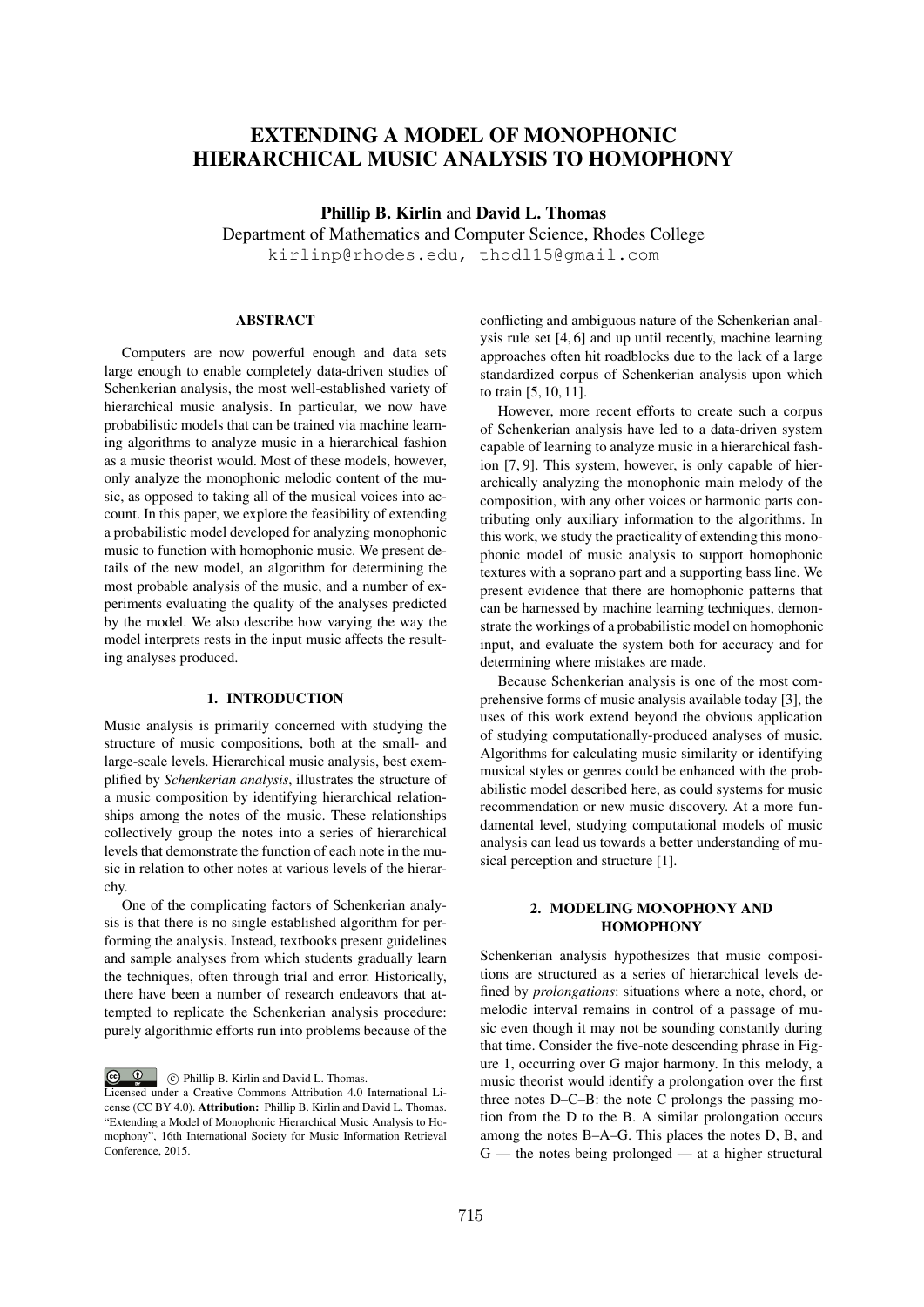# EXTENDING A MODEL OF MONOPHONIC HIERARCHICAL MUSIC ANALYSIS TO HOMOPHONY

Phillip B. Kirlin and David L. Thomas

Department of Mathematics and Computer Science, Rhodes College

kirlinp@rhodes.edu, thodl15@gmail.com

## **ABSTRACT**

Computers are now powerful enough and data sets large enough to enable completely data-driven studies of Schenkerian analysis, the most well-established variety of hierarchical music analysis. In particular, we now have probabilistic models that can be trained via machine learning algorithms to analyze music in a hierarchical fashion as a music theorist would. Most of these models, however, only analyze the monophonic melodic content of the music, as opposed to taking all of the musical voices into account. In this paper, we explore the feasibility of extending a probabilistic model developed for analyzing monophonic music to function with homophonic music. We present details of the new model, an algorithm for determining the most probable analysis of the music, and a number of experiments evaluating the quality of the analyses predicted by the model. We also describe how varying the way the model interprets rests in the input music affects the resulting analyses produced.

## 1. INTRODUCTION

Music analysis is primarily concerned with studying the structure of music compositions, both at the small- and large-scale levels. Hierarchical music analysis, best exemplified by *Schenkerian analysis*, illustrates the structure of a music composition by identifying hierarchical relationships among the notes of the music. These relationships collectively group the notes into a series of hierarchical levels that demonstrate the function of each note in the music in relation to other notes at various levels of the hierarchy.

One of the complicating factors of Schenkerian analysis is that there is no single established algorithm for performing the analysis. Instead, textbooks present guidelines and sample analyses from which students gradually learn the techniques, often through trial and error. Historically, there have been a number of research endeavors that attempted to replicate the Schenkerian analysis procedure: purely algorithmic efforts run into problems because of the

 $\circled{e}$   $\circled{e}$   $\circled{e}$  Phillip B. Kirlin and David L. Thomas.

conflicting and ambiguous nature of the Schenkerian analysis rule set [4, 6] and up until recently, machine learning approaches often hit roadblocks due to the lack of a large standardized corpus of Schenkerian analysis upon which to train [5, 10, 11].

However, more recent efforts to create such a corpus of Schenkerian analysis have led to a data-driven system capable of learning to analyze music in a hierarchical fashion [7, 9]. This system, however, is only capable of hierarchically analyzing the monophonic main melody of the composition, with any other voices or harmonic parts contributing only auxiliary information to the algorithms. In this work, we study the practicality of extending this monophonic model of music analysis to support homophonic textures with a soprano part and a supporting bass line. We present evidence that there are homophonic patterns that can be harnessed by machine learning techniques, demonstrate the workings of a probabilistic model on homophonic input, and evaluate the system both for accuracy and for determining where mistakes are made.

Because Schenkerian analysis is one of the most comprehensive forms of music analysis available today [3], the uses of this work extend beyond the obvious application of studying computationally-produced analyses of music. Algorithms for calculating music similarity or identifying musical styles or genres could be enhanced with the probabilistic model described here, as could systems for music recommendation or new music discovery. At a more fundamental level, studying computational models of music analysis can lead us towards a better understanding of musical perception and structure [1].

# 2. MODELING MONOPHONY AND **HOMOPHONY**

Schenkerian analysis hypothesizes that music compositions are structured as a series of hierarchical levels defined by *prolongations*: situations where a note, chord, or melodic interval remains in control of a passage of music even though it may not be sounding constantly during that time. Consider the five-note descending phrase in Figure 1, occurring over G major harmony. In this melody, a music theorist would identify a prolongation over the first three notes D–C–B: the note C prolongs the passing motion from the D to the B. A similar prolongation occurs among the notes B–A–G. This places the notes D, B, and  $G$  — the notes being prolonged — at a higher structural

Licensed under a Creative Commons Attribution 4.0 International License (CC BY 4.0). Attribution: Phillip B. Kirlin and David L. Thomas. "Extending a Model of Monophonic Hierarchical Music Analysis to Homophony", 16th International Society for Music Information Retrieval Conference, 2015.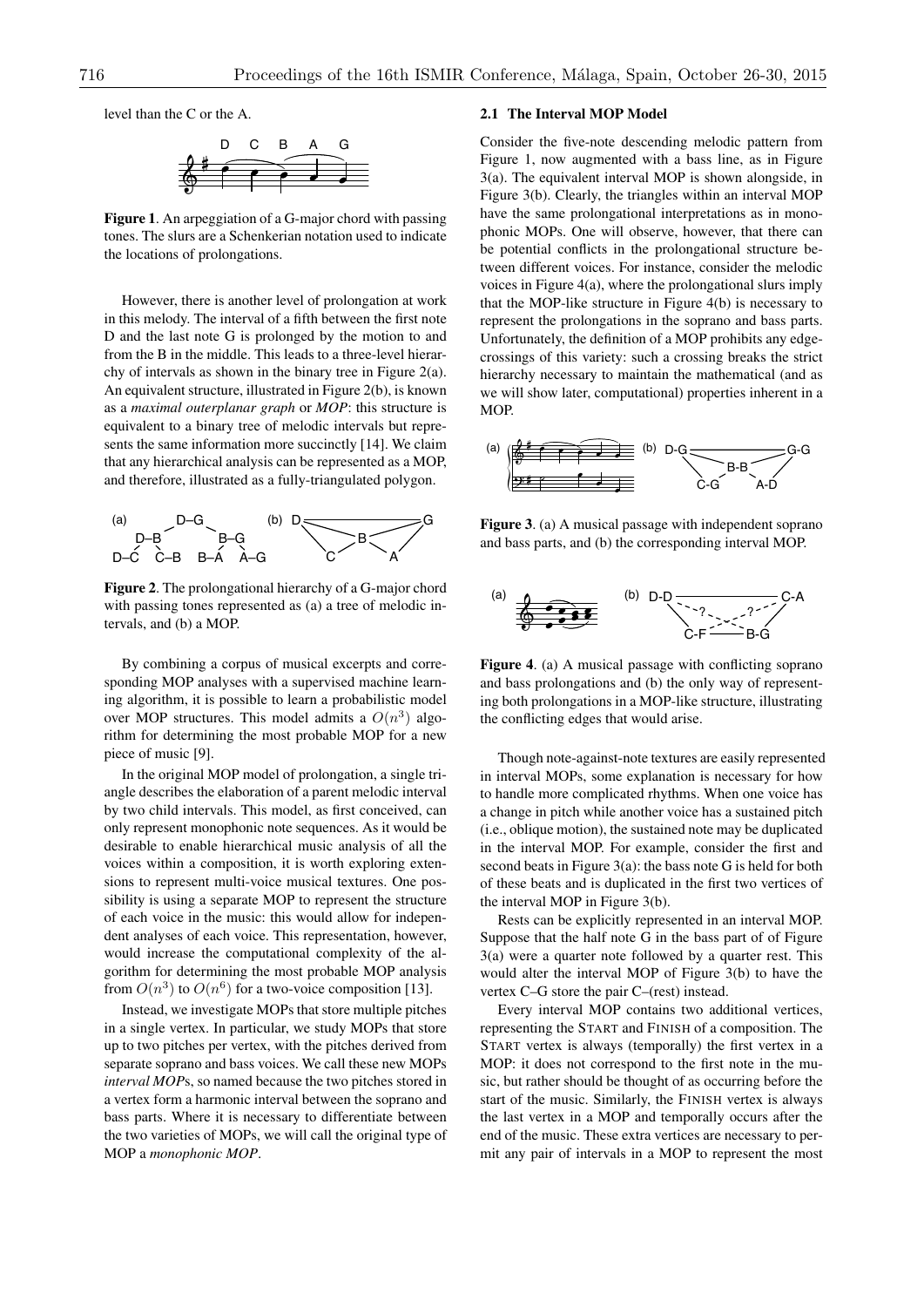level than the C or the A.



Figure 1. An arpeggiation of a G-major chord with passing tones. The slurs are a Schenkerian notation used to indicate the locations of prolongations.

However, there is another level of prolongation at work in this melody. The interval of a fifth between the first note D and the last note G is prolonged by the motion to and from the B in the middle. This leads to a three-level hierarchy of intervals as shown in the binary tree in Figure 2(a). An equivalent structure, illustrated in Figure 2(b), is known as a *maximal outerplanar graph* or *MOP*: this structure is equivalent to a binary tree of melodic intervals but represents the same information more succinctly [14]. We claim that any hierarchical analysis can be represented as a MOP, and therefore, illustrated as a fully-triangulated polygon.



Figure 2. The prolongational hierarchy of a G-major chord with passing tones represented as (a) a tree of melodic intervals, and (b) a MOP.

By combining a corpus of musical excerpts and corresponding MOP analyses with a supervised machine learning algorithm, it is possible to learn a probabilistic model over MOP structures. This model admits a  $O(n^3)$  algorithm for determining the most probable MOP for a new piece of music [9].

In the original MOP model of prolongation, a single triangle describes the elaboration of a parent melodic interval by two child intervals. This model, as first conceived, can only represent monophonic note sequences. As it would be desirable to enable hierarchical music analysis of all the voices within a composition, it is worth exploring extensions to represent multi-voice musical textures. One possibility is using a separate MOP to represent the structure of each voice in the music: this would allow for independent analyses of each voice. This representation, however, would increase the computational complexity of the algorithm for determining the most probable MOP analysis from  $O(n^3)$  to  $O(n^6)$  for a two-voice composition [13].

Instead, we investigate MOPs that store multiple pitches in a single vertex. In particular, we study MOPs that store up to two pitches per vertex, with the pitches derived from separate soprano and bass voices. We call these new MOPs *interval MOP*s, so named because the two pitches stored in a vertex form a harmonic interval between the soprano and bass parts. Where it is necessary to differentiate between the two varieties of MOPs, we will call the original type of MOP a *monophonic MOP*.

## 2.1 The Interval MOP Model

Consider the five-note descending melodic pattern from Figure 1, now augmented with a bass line, as in Figure 3(a). The equivalent interval MOP is shown alongside, in Figure 3(b). Clearly, the triangles within an interval MOP have the same prolongational interpretations as in monophonic MOPs. One will observe, however, that there can be potential conflicts in the prolongational structure between different voices. For instance, consider the melodic voices in Figure 4(a), where the prolongational slurs imply that the MOP-like structure in Figure 4(b) is necessary to represent the prolongations in the soprano and bass parts. Unfortunately, the definition of a MOP prohibits any edgecrossings of this variety: such a crossing breaks the strict hierarchy necessary to maintain the mathematical (and as we will show later, computational) properties inherent in a MOP.



Figure 3. (a) A musical passage with independent soprano and bass parts, and (b) the corresponding interval MOP.



Figure 4. (a) A musical passage with conflicting soprano and bass prolongations and (b) the only way of representing both prolongations in a MOP-like structure, illustrating the conflicting edges that would arise.

Though note-against-note textures are easily represented in interval MOPs, some explanation is necessary for how to handle more complicated rhythms. When one voice has a change in pitch while another voice has a sustained pitch (i.e., oblique motion), the sustained note may be duplicated in the interval MOP. For example, consider the first and second beats in Figure 3(a): the bass note G is held for both of these beats and is duplicated in the first two vertices of the interval MOP in Figure 3(b).

Rests can be explicitly represented in an interval MOP. Suppose that the half note G in the bass part of of Figure 3(a) were a quarter note followed by a quarter rest. This would alter the interval MOP of Figure 3(b) to have the vertex C–G store the pair C–(rest) instead.

Every interval MOP contains two additional vertices, representing the START and FINISH of a composition. The START vertex is always (temporally) the first vertex in a MOP: it does not correspond to the first note in the music, but rather should be thought of as occurring before the start of the music. Similarly, the FINISH vertex is always the last vertex in a MOP and temporally occurs after the end of the music. These extra vertices are necessary to permit any pair of intervals in a MOP to represent the most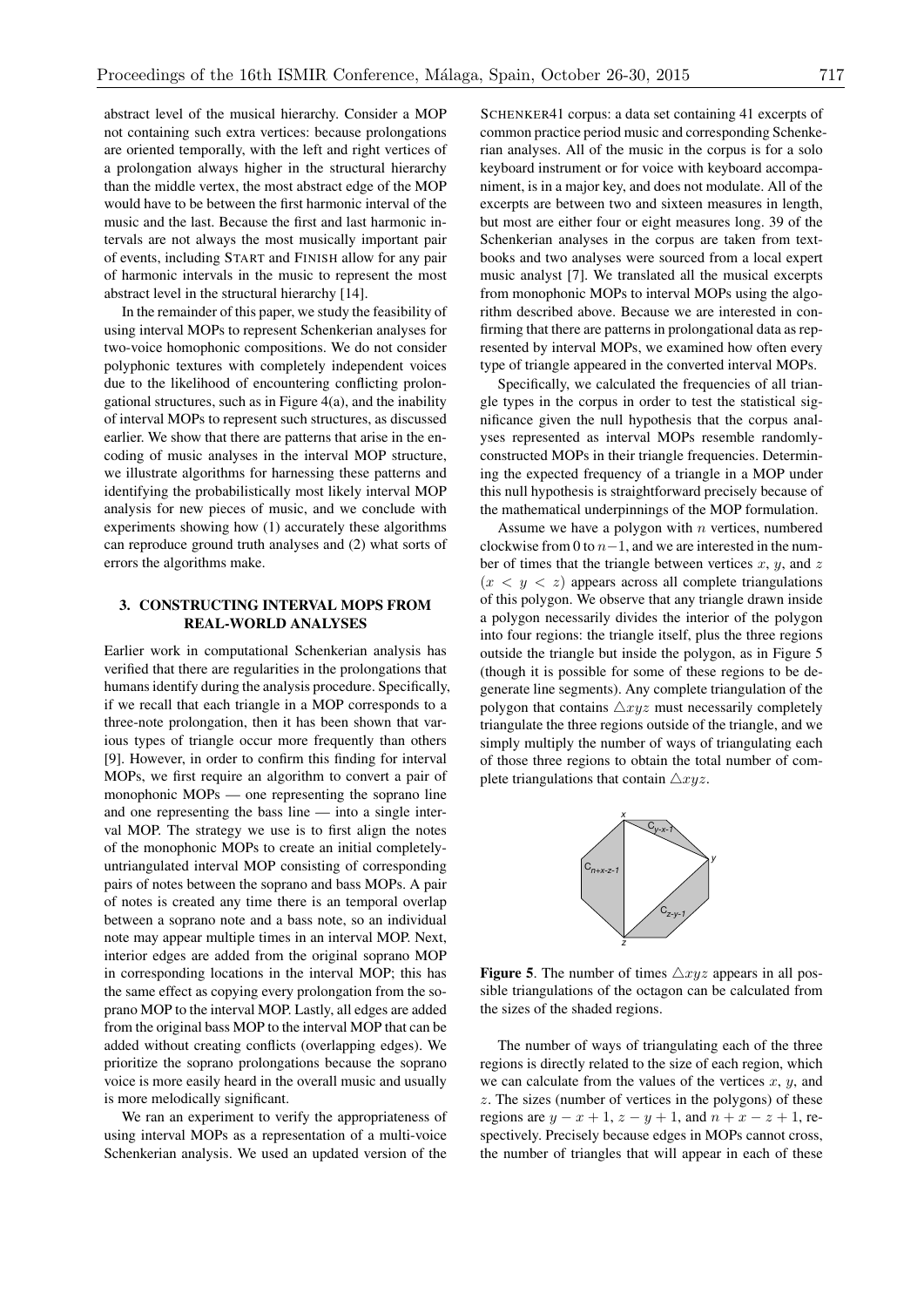abstract level of the musical hierarchy. Consider a MOP not containing such extra vertices: because prolongations are oriented temporally, with the left and right vertices of a prolongation always higher in the structural hierarchy than the middle vertex, the most abstract edge of the MOP would have to be between the first harmonic interval of the music and the last. Because the first and last harmonic intervals are not always the most musically important pair of events, including START and FINISH allow for any pair of harmonic intervals in the music to represent the most abstract level in the structural hierarchy [14].

In the remainder of this paper, we study the feasibility of using interval MOPs to represent Schenkerian analyses for two-voice homophonic compositions. We do not consider polyphonic textures with completely independent voices due to the likelihood of encountering conflicting prolongational structures, such as in Figure 4(a), and the inability of interval MOPs to represent such structures, as discussed earlier. We show that there are patterns that arise in the encoding of music analyses in the interval MOP structure, we illustrate algorithms for harnessing these patterns and identifying the probabilistically most likely interval MOP analysis for new pieces of music, and we conclude with experiments showing how (1) accurately these algorithms can reproduce ground truth analyses and (2) what sorts of errors the algorithms make.

#### 3. CONSTRUCTING INTERVAL MOPS FROM REAL-WORLD ANALYSES

Earlier work in computational Schenkerian analysis has verified that there are regularities in the prolongations that humans identify during the analysis procedure. Specifically, if we recall that each triangle in a MOP corresponds to a three-note prolongation, then it has been shown that various types of triangle occur more frequently than others [9]. However, in order to confirm this finding for interval MOPs, we first require an algorithm to convert a pair of monophonic MOPs — one representing the soprano line and one representing the bass line — into a single interval MOP. The strategy we use is to first align the notes of the monophonic MOPs to create an initial completelyuntriangulated interval MOP consisting of corresponding pairs of notes between the soprano and bass MOPs. A pair of notes is created any time there is an temporal overlap between a soprano note and a bass note, so an individual note may appear multiple times in an interval MOP. Next, interior edges are added from the original soprano MOP in corresponding locations in the interval MOP; this has the same effect as copying every prolongation from the soprano MOP to the interval MOP. Lastly, all edges are added from the original bass MOP to the interval MOP that can be added without creating conflicts (overlapping edges). We prioritize the soprano prolongations because the soprano voice is more easily heard in the overall music and usually is more melodically significant.

We ran an experiment to verify the appropriateness of using interval MOPs as a representation of a multi-voice Schenkerian analysis. We used an updated version of the SCHENKER41 corpus: a data set containing 41 excerpts of common practice period music and corresponding Schenkerian analyses. All of the music in the corpus is for a solo keyboard instrument or for voice with keyboard accompaniment, is in a major key, and does not modulate. All of the excerpts are between two and sixteen measures in length, but most are either four or eight measures long. 39 of the Schenkerian analyses in the corpus are taken from textbooks and two analyses were sourced from a local expert music analyst [7]. We translated all the musical excerpts from monophonic MOPs to interval MOPs using the algorithm described above. Because we are interested in confirming that there are patterns in prolongational data as represented by interval MOPs, we examined how often every type of triangle appeared in the converted interval MOPs.

Specifically, we calculated the frequencies of all triangle types in the corpus in order to test the statistical significance given the null hypothesis that the corpus analyses represented as interval MOPs resemble randomlyconstructed MOPs in their triangle frequencies. Determining the expected frequency of a triangle in a MOP under this null hypothesis is straightforward precisely because of the mathematical underpinnings of the MOP formulation.

Assume we have a polygon with *n* vertices, numbered clockwise from 0 to  $n-1$ , and we are interested in the number of times that the triangle between vertices *x*, *y*, and *z*  $(x < y < z)$  appears across all complete triangulations of this polygon. We observe that any triangle drawn inside a polygon necessarily divides the interior of the polygon into four regions: the triangle itself, plus the three regions outside the triangle but inside the polygon, as in Figure 5 (though it is possible for some of these regions to be degenerate line segments). Any complete triangulation of the polygon that contains  $\triangle xyz$  must necessarily completely triangulate the three regions outside of the triangle, and we simply multiply the number of ways of triangulating each of those three regions to obtain the total number of complete triangulations that contain  $\triangle xyz$ .



**Figure 5.** The number of times  $\triangle xyz$  appears in all possible triangulations of the octagon can be calculated from the sizes of the shaded regions.

The number of ways of triangulating each of the three regions is directly related to the size of each region, which we can calculate from the values of the vertices *x*, *y*, and *z*. The sizes (number of vertices in the polygons) of these regions are  $y - x + 1$ ,  $z - y + 1$ , and  $n + x - z + 1$ , respectively. Precisely because edges in MOPs cannot cross, the number of triangles that will appear in each of these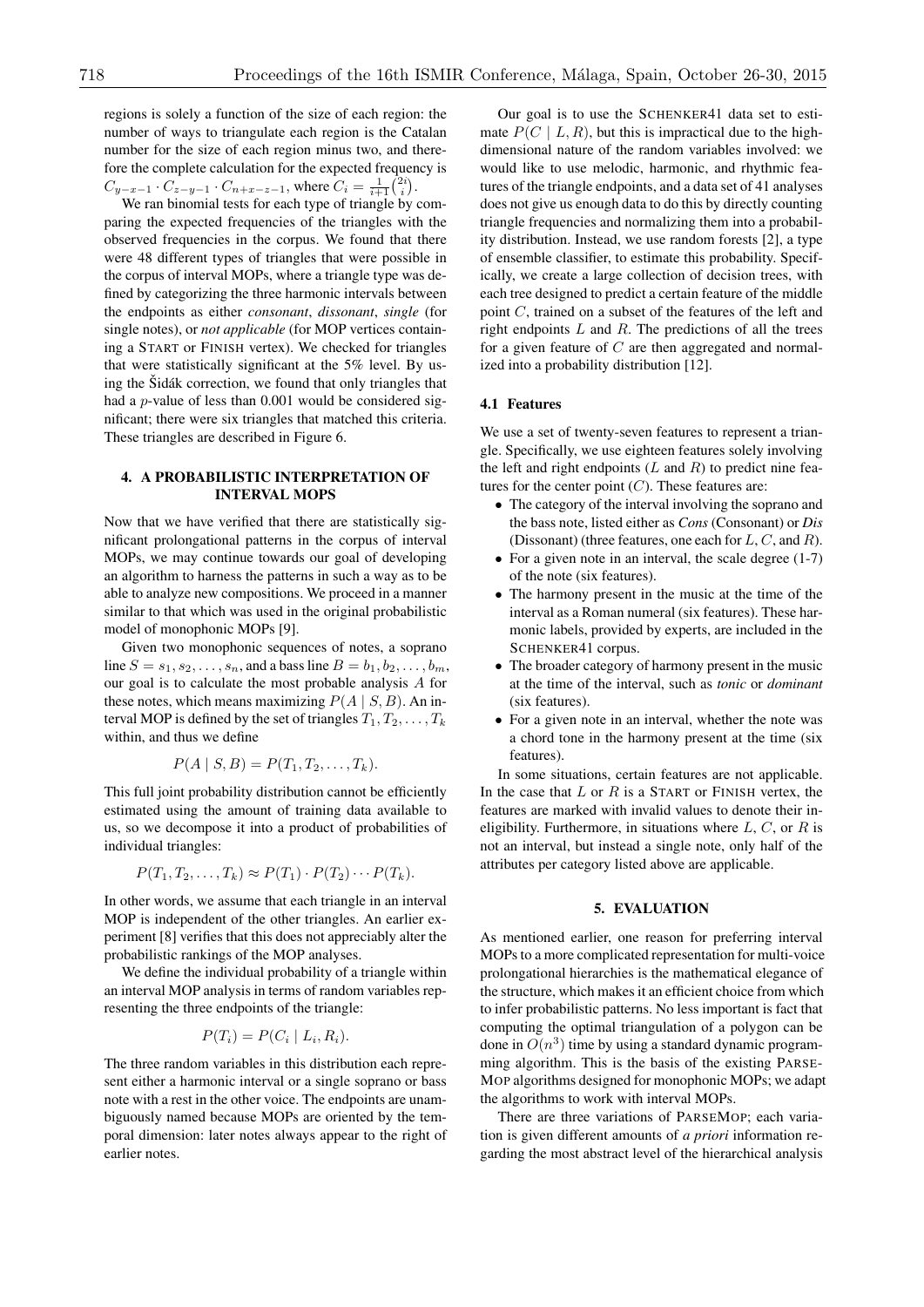regions is solely a function of the size of each region: the number of ways to triangulate each region is the Catalan number for the size of each region minus two, and therefore the complete calculation for the expected frequency is  $C_{y-x-1} \cdot C_{z-y-1} \cdot C_{n+x-z-1}$ , where  $C_i = \frac{1}{i+1} \left( \frac{2i}{i} \right)$ .

We ran binomial tests for each type of triangle by comparing the expected frequencies of the triangles with the observed frequencies in the corpus. We found that there were 48 different types of triangles that were possible in the corpus of interval MOPs, where a triangle type was defined by categorizing the three harmonic intervals between the endpoints as either *consonant*, *dissonant*, *single* (for single notes), or *not applicable* (for MOP vertices containing a START or FINISH vertex). We checked for triangles that were statistically significant at the 5% level. By using the Šidák correction, we found that only triangles that had a *p*-value of less than 0.001 would be considered significant; there were six triangles that matched this criteria. These triangles are described in Figure 6.

#### 4. A PROBABILISTIC INTERPRETATION OF INTERVAL MOPS

Now that we have verified that there are statistically significant prolongational patterns in the corpus of interval MOPs, we may continue towards our goal of developing an algorithm to harness the patterns in such a way as to be able to analyze new compositions. We proceed in a manner similar to that which was used in the original probabilistic model of monophonic MOPs [9].

Given two monophonic sequences of notes, a soprano line  $S = s_1, s_2, ..., s_n$ , and a bass line  $B = b_1, b_2, ..., b_m$ , our goal is to calculate the most probable analysis *A* for these notes, which means maximizing  $P(A | S, B)$ . An interval MOP is defined by the set of triangles  $T_1, T_2, \ldots, T_k$ within, and thus we define

$$
P(A \mid S, B) = P(T_1, T_2, \ldots, T_k).
$$

This full joint probability distribution cannot be efficiently estimated using the amount of training data available to us, so we decompose it into a product of probabilities of individual triangles:

$$
P(T_1, T_2, \ldots, T_k) \approx P(T_1) \cdot P(T_2) \cdots P(T_k).
$$

In other words, we assume that each triangle in an interval MOP is independent of the other triangles. An earlier experiment [8] verifies that this does not appreciably alter the probabilistic rankings of the MOP analyses.

We define the individual probability of a triangle within an interval MOP analysis in terms of random variables representing the three endpoints of the triangle:

$$
P(T_i) = P(C_i | L_i, R_i).
$$

The three random variables in this distribution each represent either a harmonic interval or a single soprano or bass note with a rest in the other voice. The endpoints are unambiguously named because MOPs are oriented by the temporal dimension: later notes always appear to the right of earlier notes.

Our goal is to use the SCHENKER41 data set to estimate  $P(C \mid L, R)$ , but this is impractical due to the highdimensional nature of the random variables involved: we would like to use melodic, harmonic, and rhythmic features of the triangle endpoints, and a data set of 41 analyses does not give us enough data to do this by directly counting triangle frequencies and normalizing them into a probability distribution. Instead, we use random forests [2], a type of ensemble classifier, to estimate this probability. Specifically, we create a large collection of decision trees, with each tree designed to predict a certain feature of the middle point *C*, trained on a subset of the features of the left and right endpoints *L* and *R*. The predictions of all the trees for a given feature of *C* are then aggregated and normalized into a probability distribution [12].

#### 4.1 Features

We use a set of twenty-seven features to represent a triangle. Specifically, we use eighteen features solely involving the left and right endpoints  $(L \text{ and } R)$  to predict nine features for the center point  $(C)$ . These features are:

- The category of the interval involving the soprano and the bass note, listed either as *Cons* (Consonant) or *Dis* (Dissonant) (three features, one each for *L*, *C*, and *R*).
- For a given note in an interval, the scale degree  $(1-7)$ of the note (six features).
- *•* The harmony present in the music at the time of the interval as a Roman numeral (six features). These harmonic labels, provided by experts, are included in the SCHENKER41 corpus.
- The broader category of harmony present in the music at the time of the interval, such as *tonic* or *dominant* (six features).
- *•* For a given note in an interval, whether the note was a chord tone in the harmony present at the time (six features).

In some situations, certain features are not applicable. In the case that *L* or *R* is a START or FINISH vertex, the features are marked with invalid values to denote their ineligibility. Furthermore, in situations where *L*, *C*, or *R* is not an interval, but instead a single note, only half of the attributes per category listed above are applicable.

#### 5. EVALUATION

As mentioned earlier, one reason for preferring interval MOPs to a more complicated representation for multi-voice prolongational hierarchies is the mathematical elegance of the structure, which makes it an efficient choice from which to infer probabilistic patterns. No less important is fact that computing the optimal triangulation of a polygon can be done in  $O(n^3)$  time by using a standard dynamic programming algorithm. This is the basis of the existing PARSE-MOP algorithms designed for monophonic MOPs; we adapt the algorithms to work with interval MOPs.

There are three variations of PARSEMOP; each variation is given different amounts of *a priori* information regarding the most abstract level of the hierarchical analysis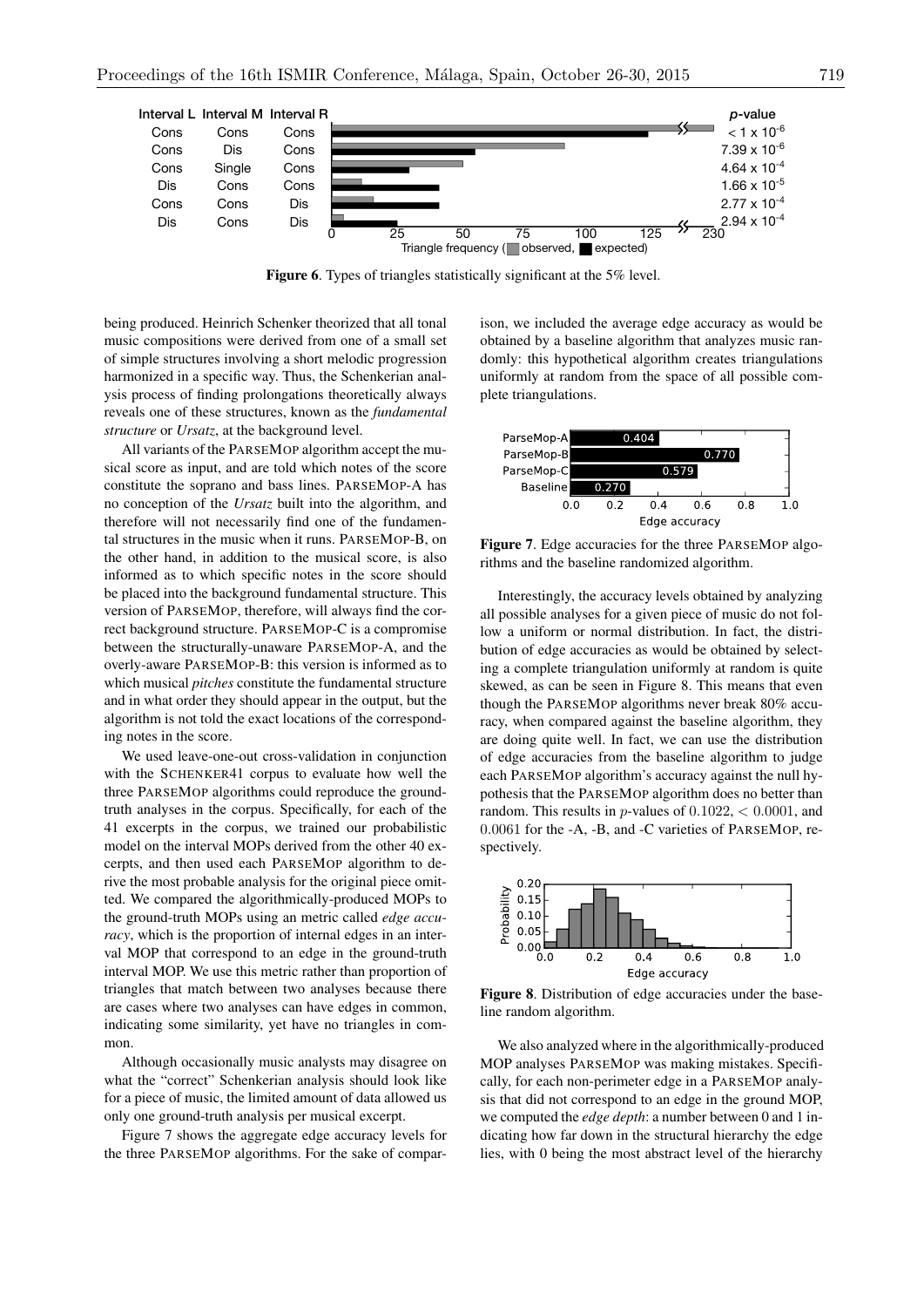

Figure 6. Types of triangles statistically significant at the 5% level.

being produced. Heinrich Schenker theorized that all tonal music compositions were derived from one of a small set of simple structures involving a short melodic progression harmonized in a specific way. Thus, the Schenkerian analysis process of finding prolongations theoretically always reveals one of these structures, known as the *fundamental structure* or *Ursatz*, at the background level.

All variants of the PARSEMOP algorithm accept the musical score as input, and are told which notes of the score constitute the soprano and bass lines. PARSEMOP-A has no conception of the *Ursatz* built into the algorithm, and therefore will not necessarily find one of the fundamental structures in the music when it runs. PARSEMOP-B, on the other hand, in addition to the musical score, is also informed as to which specific notes in the score should be placed into the background fundamental structure. This version of PARSEMOP, therefore, will always find the correct background structure. PARSEMOP-C is a compromise between the structurally-unaware PARSEMOP-A, and the overly-aware PARSEMOP-B: this version is informed as to which musical *pitches* constitute the fundamental structure and in what order they should appear in the output, but the algorithm is not told the exact locations of the corresponding notes in the score.

We used leave-one-out cross-validation in conjunction with the SCHENKER41 corpus to evaluate how well the three PARSEMOP algorithms could reproduce the groundtruth analyses in the corpus. Specifically, for each of the 41 excerpts in the corpus, we trained our probabilistic model on the interval MOPs derived from the other 40 excerpts, and then used each PARSEMOP algorithm to derive the most probable analysis for the original piece omitted. We compared the algorithmically-produced MOPs to the ground-truth MOPs using an metric called *edge accuracy*, which is the proportion of internal edges in an interval MOP that correspond to an edge in the ground-truth interval MOP. We use this metric rather than proportion of triangles that match between two analyses because there are cases where two analyses can have edges in common, indicating some similarity, yet have no triangles in common.

Although occasionally music analysts may disagree on what the "correct" Schenkerian analysis should look like for a piece of music, the limited amount of data allowed us only one ground-truth analysis per musical excerpt.

Figure 7 shows the aggregate edge accuracy levels for the three PARSEMOP algorithms. For the sake of comparison, we included the average edge accuracy as would be obtained by a baseline algorithm that analyzes music randomly: this hypothetical algorithm creates triangulations uniformly at random from the space of all possible complete triangulations.



Figure 7. Edge accuracies for the three PARSEMOP algorithms and the baseline randomized algorithm.

Interestingly, the accuracy levels obtained by analyzing all possible analyses for a given piece of music do not follow a uniform or normal distribution. In fact, the distribution of edge accuracies as would be obtained by selecting a complete triangulation uniformly at random is quite skewed, as can be seen in Figure 8. This means that even though the PARSEMOP algorithms never break 80% accuracy, when compared against the baseline algorithm, they are doing quite well. In fact, we can use the distribution of edge accuracies from the baseline algorithm to judge each PARSEMOP algorithm's accuracy against the null hypothesis that the PARSEMOP algorithm does no better than random. This results in *p*-values of 0*.*1022, *<* 0*.*0001, and 0*.*0061 for the -A, -B, and -C varieties of PARSEMOP, respectively.



Figure 8. Distribution of edge accuracies under the baseline random algorithm.

We also analyzed where in the algorithmically-produced MOP analyses PARSEMOP was making mistakes. Specifically, for each non-perimeter edge in a PARSEMOP analysis that did not correspond to an edge in the ground MOP, we computed the *edge depth*: a number between 0 and 1 indicating how far down in the structural hierarchy the edge lies, with 0 being the most abstract level of the hierarchy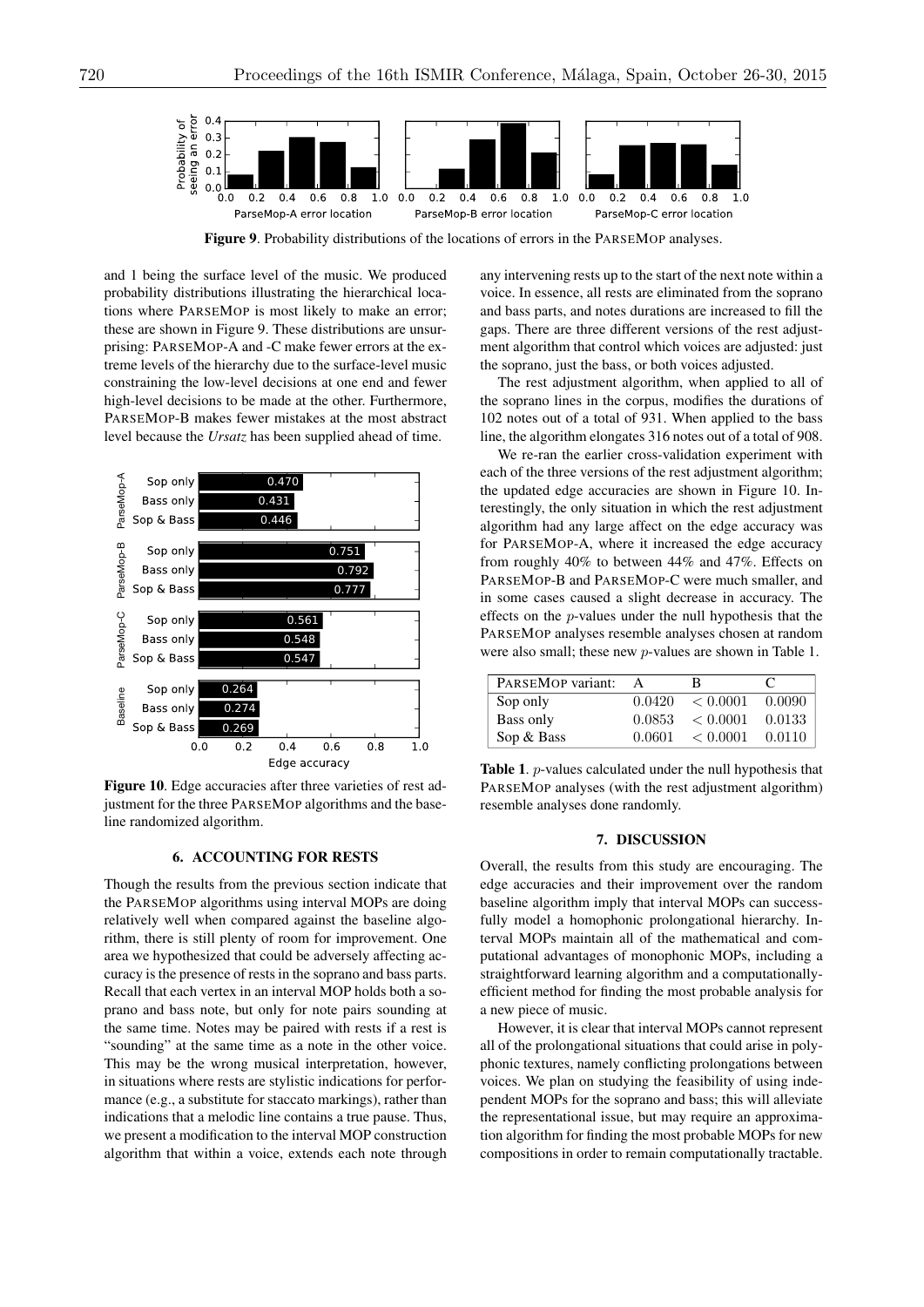

Figure 9. Probability distributions of the locations of errors in the PARSEMOP analyses.

and 1 being the surface level of the music. We produced probability distributions illustrating the hierarchical locations where PARSEMOP is most likely to make an error; these are shown in Figure 9. These distributions are unsurprising: PARSEMOP-A and -C make fewer errors at the extreme levels of the hierarchy due to the surface-level music constraining the low-level decisions at one end and fewer high-level decisions to be made at the other. Furthermore, PARSEMOP-B makes fewer mistakes at the most abstract level because the *Ursatz* has been supplied ahead of time.



Figure 10. Edge accuracies after three varieties of rest adjustment for the three PARSEMOP algorithms and the baseline randomized algorithm.

#### 6. ACCOUNTING FOR RESTS

Though the results from the previous section indicate that the PARSEMOP algorithms using interval MOPs are doing relatively well when compared against the baseline algorithm, there is still plenty of room for improvement. One area we hypothesized that could be adversely affecting accuracy is the presence of rests in the soprano and bass parts. Recall that each vertex in an interval MOP holds both a soprano and bass note, but only for note pairs sounding at the same time. Notes may be paired with rests if a rest is "sounding" at the same time as a note in the other voice. This may be the wrong musical interpretation, however, in situations where rests are stylistic indications for performance (e.g., a substitute for staccato markings), rather than indications that a melodic line contains a true pause. Thus, we present a modification to the interval MOP construction algorithm that within a voice, extends each note through any intervening rests up to the start of the next note within a voice. In essence, all rests are eliminated from the soprano and bass parts, and notes durations are increased to fill the gaps. There are three different versions of the rest adjustment algorithm that control which voices are adjusted: just the soprano, just the bass, or both voices adjusted.

The rest adjustment algorithm, when applied to all of the soprano lines in the corpus, modifies the durations of 102 notes out of a total of 931. When applied to the bass line, the algorithm elongates 316 notes out of a total of 908.

We re-ran the earlier cross-validation experiment with each of the three versions of the rest adjustment algorithm; the updated edge accuracies are shown in Figure 10. Interestingly, the only situation in which the rest adjustment algorithm had any large affect on the edge accuracy was for PARSEMOP-A, where it increased the edge accuracy from roughly 40% to between 44% and 47%. Effects on PARSEMOP-B and PARSEMOP-C were much smaller, and in some cases caused a slight decrease in accuracy. The effects on the *p*-values under the null hypothesis that the PARSEMOP analyses resemble analyses chosen at random were also small; these new *p*-values are shown in Table 1.

| PARSEMOP variant: |        | R        |        |
|-------------------|--------|----------|--------|
| Sop only          | 0.0420 | < 0.0001 | 0.0090 |
| Bass only         | 0.0853 | < 0.0001 | 0.0133 |
| Sop & Bass        | 0.0601 | < 0.0001 | 0.0110 |

Table 1. *p*-values calculated under the null hypothesis that PARSEMOP analyses (with the rest adjustment algorithm) resemble analyses done randomly.

#### 7. DISCUSSION

Overall, the results from this study are encouraging. The edge accuracies and their improvement over the random baseline algorithm imply that interval MOPs can successfully model a homophonic prolongational hierarchy. Interval MOPs maintain all of the mathematical and computational advantages of monophonic MOPs, including a straightforward learning algorithm and a computationallyefficient method for finding the most probable analysis for a new piece of music.

However, it is clear that interval MOPs cannot represent all of the prolongational situations that could arise in polyphonic textures, namely conflicting prolongations between voices. We plan on studying the feasibility of using independent MOPs for the soprano and bass; this will alleviate the representational issue, but may require an approximation algorithm for finding the most probable MOPs for new compositions in order to remain computationally tractable.